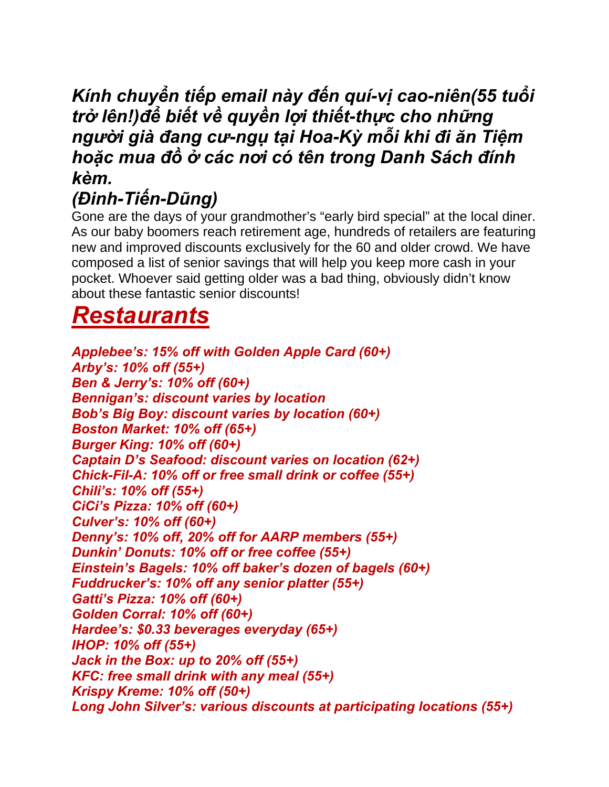#### *Kính chuyển tiếp email này đến quí-vị cao-niên(55 tuổi trở lên!)để biết về quyền lợi thiết-thực cho những người già đang cư-ngụ tại Hoa-Kỳ mỗi khi đi ăn Tiệm hoặc mua đồ ở các nơi có tên trong Danh Sách đính kèm.*

#### *(Đinh-Tiến-Dũng)*

Gone are the days of your grandmother's "early bird special" at the local diner. As our baby boomers reach retirement age, hundreds of retailers are featuring new and improved discounts exclusively for the 60 and older crowd. We have composed a list of senior savings that will help you keep more cash in your pocket. Whoever said getting older was a bad thing, obviously didn't know about these fantastic senior discounts!

# *Restaurants*

*Applebee's: 15% off with Golden Apple Card (60+) Arby's: 10% off (55+) Ben & Jerry's: 10% off (60+) Bennigan's: discount varies by location Bob's Big Boy: discount varies by location (60+) Boston Market: 10% off (65+) Burger King: 10% off (60+) Captain D's Seafood: discount varies on location (62+) Chick-Fil-A: 10% off or free small drink or coffee (55+) Chili's: 10% off (55+) CiCi's Pizza: 10% off (60+) Culver's: 10% off (60+) Denny's: 10% off, 20% off for AARP members (55+) Dunkin' Donuts: 10% off or free coffee (55+) Einstein's Bagels: 10% off baker's dozen of bagels (60+) Fuddrucker's: 10% off any senior platter (55+) Gatti's Pizza: 10% off (60+) Golden Corral: 10% off (60+) Hardee's: \$0.33 beverages everyday (65+) IHOP: 10% off (55+) Jack in the Box: up to 20% off (55+) KFC: free small drink with any meal (55+) Krispy Kreme: 10% off (50+) Long John Silver's: various discounts at participating locations (55+)*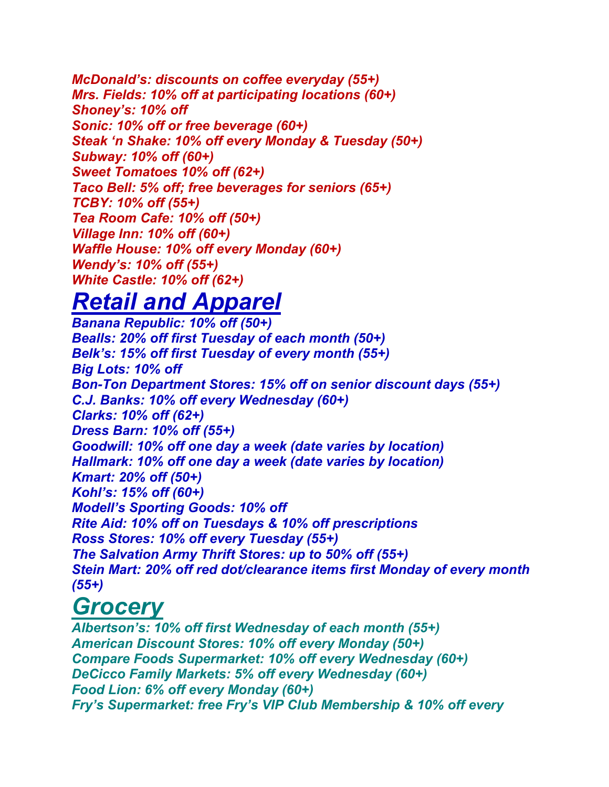*McDonald's: discounts on coffee everyday (55+) Mrs. Fields: 10% off at participating locations (60+) Shoney's: 10% off Sonic: 10% off or free beverage (60+) Steak 'n Shake: 10% off every Monday & Tuesday (50+) Subway: 10% off (60+) Sweet Tomatoes 10% off (62+) Taco Bell: 5% off; free beverages for seniors (65+) TCBY: 10% off (55+) Tea Room Cafe: 10% off (50+) Village Inn: 10% off (60+) Waffle House: 10% off every Monday (60+) Wendy's: 10% off (55+) White Castle: 10% off (62+)*

### *Retail and Apparel*

*Banana Republic: 10% off (50+) Bealls: 20% off first Tuesday of each month (50+) Belk's: 15% off first Tuesday of every month (55+) Big Lots: 10% off Bon-Ton Department Stores: 15% off on senior discount days (55+) C.J. Banks: 10% off every Wednesday (60+) Clarks: 10% off (62+) Dress Barn: 10% off (55+) Goodwill: 10% off one day a week (date varies by location) Hallmark: 10% off one day a week (date varies by location) Kmart: 20% off (50+) Kohl's: 15% off (60+) Modell's Sporting Goods: 10% off Rite Aid: 10% off on Tuesdays & 10% off prescriptions Ross Stores: 10% off every Tuesday (55+) The Salvation Army Thrift Stores: up to 50% off (55+) Stein Mart: 20% off red dot/clearance items first Monday of every month (55+)*

# *Grocery*

*Albertson's: 10% off first Wednesday of each month (55+) American Discount Stores: 10% off every Monday (50+) Compare Foods Supermarket: 10% off every Wednesday (60+) DeCicco Family Markets: 5% off every Wednesday (60+) Food Lion: 6% off every Monday (60+) Fry's Supermarket: free Fry's VIP Club Membership & 10% off every*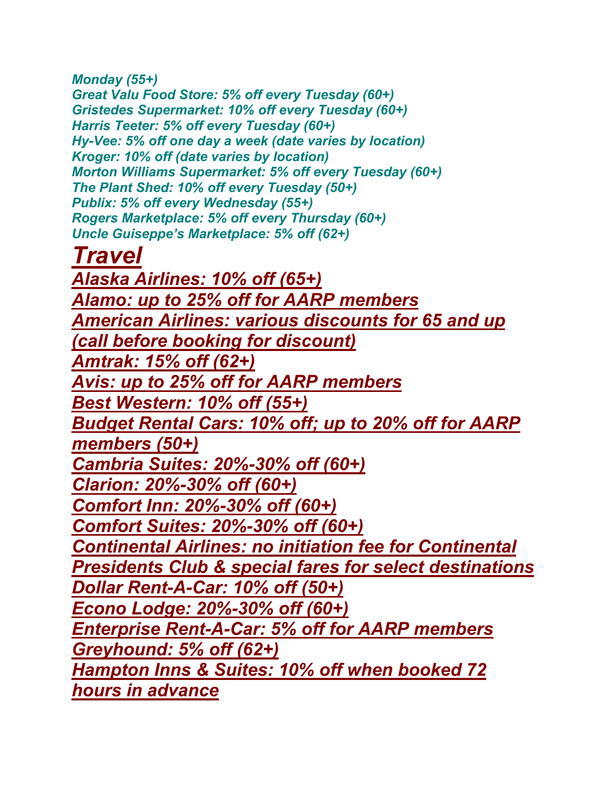*Monday (55+)* 

*Great Valu Food Store: 5% off every Tuesday (60+) Gristedes Supermarket: 10% off every Tuesday (60+) Harris Teeter: 5% off every Tuesday (60+) Hy-Vee: 5% off one day a week (date varies by location) Kroger: 10% off (date varies by location) Morton Williams Supermarket: 5% off every Tuesday (60+) The Plant Shed: 10% off every Tuesday (50+) Publix: 5% off every Wednesday (55+) Rogers Marketplace: 5% off every Thursday (60+) Uncle Guiseppe's Marketplace: 5% off (62+)*

*Travel*

*Alaska Airlines: 10% off (65+) Alamo: up to 25% off for AARP members American Airlines: various discounts for 65 and up (call before booking for discount) Amtrak: 15% off (62+) Avis: up to 25% off for AARP members Best Western: 10% off (55+) Budget Rental Cars: 10% off; up to 20% off for AARP members (50+) Cambria Suites: 20%-30% off (60+) Clarion: 20%-30% off (60+) Comfort Inn: 20%-30% off (60+) Comfort Suites: 20%-30% off (60+) Continental Airlines: no initiation fee for Continental Presidents Club & special fares for select destinations Dollar Rent-A-Car: 10% off (50+) Econo Lodge: 20%-30% off (60+) Enterprise Rent-A-Car: 5% off for AARP members Greyhound: 5% off (62+) Hampton Inns & Suites: 10% off when booked 72 hours in advance*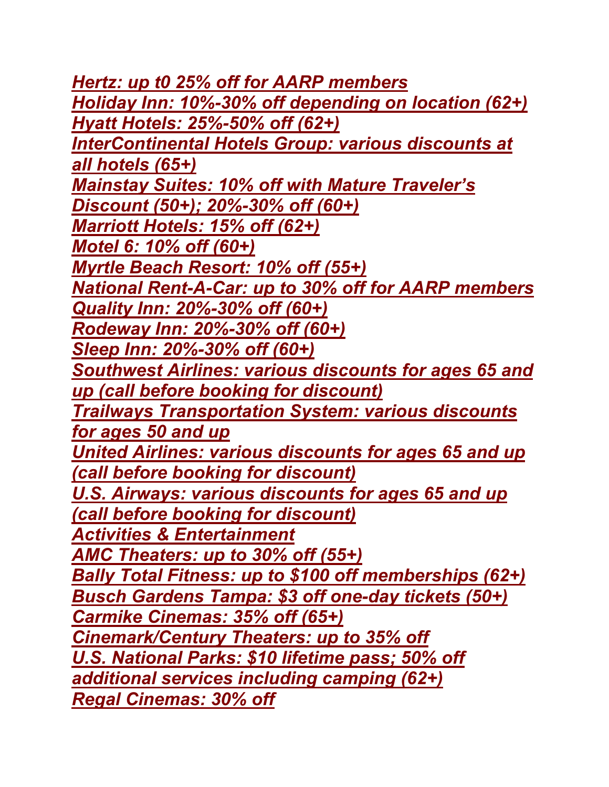*Hertz: up t0 25% off for AARP members Holiday Inn: 10%-30% off depending on location (62+) Hyatt Hotels: 25%-50% off (62+) InterContinental Hotels Group: various discounts at all hotels (65+) Mainstay Suites: 10% off with Mature Traveler's Discount (50+); 20%-30% off (60+) Marriott Hotels: 15% off (62+) Motel 6: 10% off (60+) Myrtle Beach Resort: 10% off (55+) National Rent-A-Car: up to 30% off for AARP members Quality Inn: 20%-30% off (60+) Rodeway Inn: 20%-30% off (60+) Sleep Inn: 20%-30% off (60+) Southwest Airlines: various discounts for ages 65 and up (call before booking for discount) Trailways Transportation System: various discounts for ages 50 and up United Airlines: various discounts for ages 65 and up (call before booking for discount) U.S. Airways: various discounts for ages 65 and up (call before booking for discount) Activities & Entertainment AMC Theaters: up to 30% off (55+) Bally Total Fitness: up to \$100 off memberships (62+) Busch Gardens Tampa: \$3 off one-day tickets (50+) Carmike Cinemas: 35% off (65+) Cinemark/Century Theaters: up to 35% off U.S. National Parks: \$10 lifetime pass; 50% off additional services including camping (62+) Regal Cinemas: 30% off*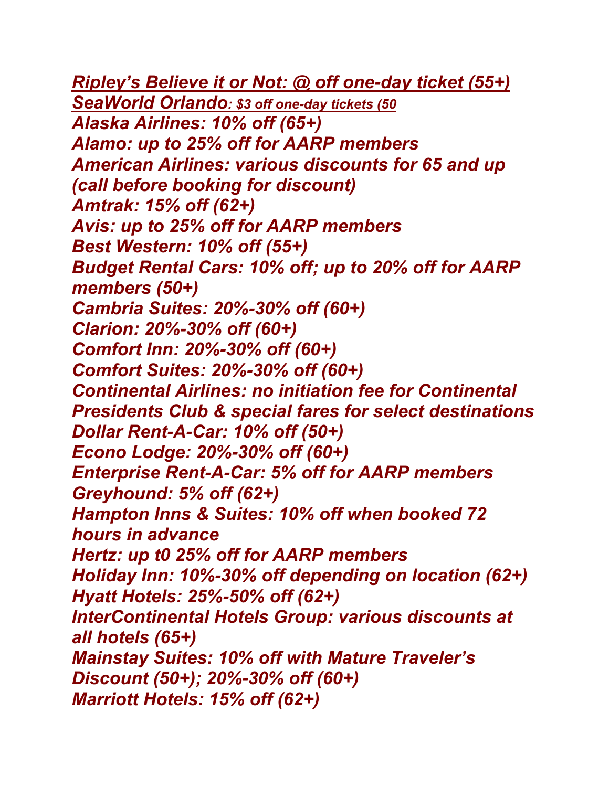*Ripley's Believe it or Not: @ off one-day ticket (55+) SeaWorld Orlando: \$3 off one-day tickets (50 Alaska Airlines: 10% off (65+) Alamo: up to 25% off for AARP members American Airlines: various discounts for 65 and up (call before booking for discount) Amtrak: 15% off (62+) Avis: up to 25% off for AARP members Best Western: 10% off (55+) Budget Rental Cars: 10% off; up to 20% off for AARP members (50+) Cambria Suites: 20%-30% off (60+) Clarion: 20%-30% off (60+) Comfort Inn: 20%-30% off (60+) Comfort Suites: 20%-30% off (60+) Continental Airlines: no initiation fee for Continental Presidents Club & special fares for select destinations Dollar Rent-A-Car: 10% off (50+) Econo Lodge: 20%-30% off (60+) Enterprise Rent-A-Car: 5% off for AARP members Greyhound: 5% off (62+) Hampton Inns & Suites: 10% off when booked 72 hours in advance Hertz: up t0 25% off for AARP members Holiday Inn: 10%-30% off depending on location (62+) Hyatt Hotels: 25%-50% off (62+) InterContinental Hotels Group: various discounts at all hotels (65+) Mainstay Suites: 10% off with Mature Traveler's Discount (50+); 20%-30% off (60+) Marriott Hotels: 15% off (62+)*